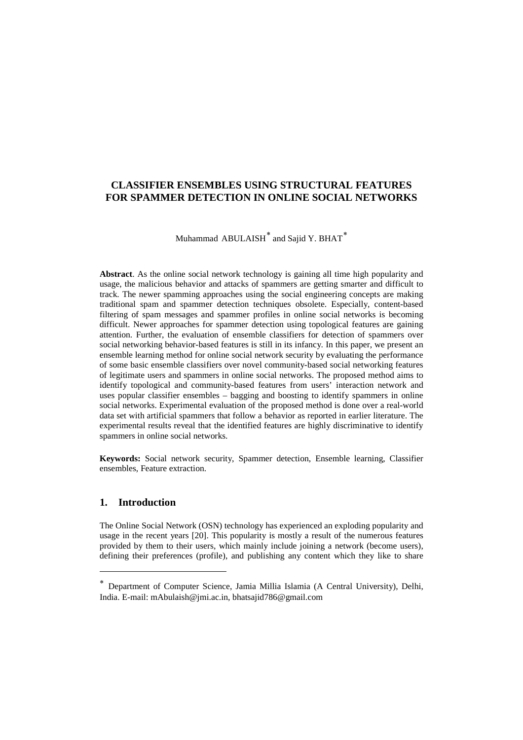**DE GRUYTER** 

FOUNDATIONS OF COMPUTING AND DECISION SCIENCES<br>Vol 40 (2015) Vol. 40  $(2015)$ 

DOI: 10.1515/fcds-2015-0006

No. 2 ISSN 0867-6356 e-ISSN 2300-3405

## **CLASSIFIER ENSEMBLES USING STRUCTURAL FEATURES FOR SPAMMER DETECTION IN ONLINE SOCIAL NETWORKS**

# Muhammad ABULAISH<sup>\*</sup> and Sajid Y. BHAT<sup>\*</sup>

**Abstract**. As the online social network technology is gaining all time high popularity and usage, the malicious behavior and attacks of spammers are getting smarter and difficult to track. The newer spamming approaches using the social engineering concepts are making traditional spam and spammer detection techniques obsolete. Especially, content-based filtering of spam messages and spammer profiles in online social networks is becoming difficult. Newer approaches for spammer detection using topological features are gaining attention. Further, the evaluation of ensemble classifiers for detection of spammers over social networking behavior-based features is still in its infancy. In this paper, we present an ensemble learning method for online social network security by evaluating the performance of some basic ensemble classifiers over novel community-based social networking features of legitimate users and spammers in online social networks. The proposed method aims to identify topological and community-based features from users' interaction network and uses popular classifier ensembles – bagging and boosting to identify spammers in online social networks. Experimental evaluation of the proposed method is done over a real-world data set with artificial spammers that follow a behavior as reported in earlier literature. The experimental results reveal that the identified features are highly discriminative to identify spammers in online social networks.

**Keywords:** Social network security, Spammer detection, Ensemble learning, Classifier ensembles, Feature extraction.

## **1. Introduction**

The Online Social Network (OSN) technology has experienced an exploding popularity and usage in the recent years [20]. This popularity is mostly a result of the numerous features provided by them to their users, which mainly include joining a network (become users), defining their preferences (profile), and publishing any content which they like to share

<span id="page-0-1"></span><span id="page-0-0"></span><sup>∗</sup> Department of Computer Science, Jamia Millia Islamia (A Central University), Delhi, India. E-mail: mAbulaish@jmi.ac.in, bhatsajid786@gmail.com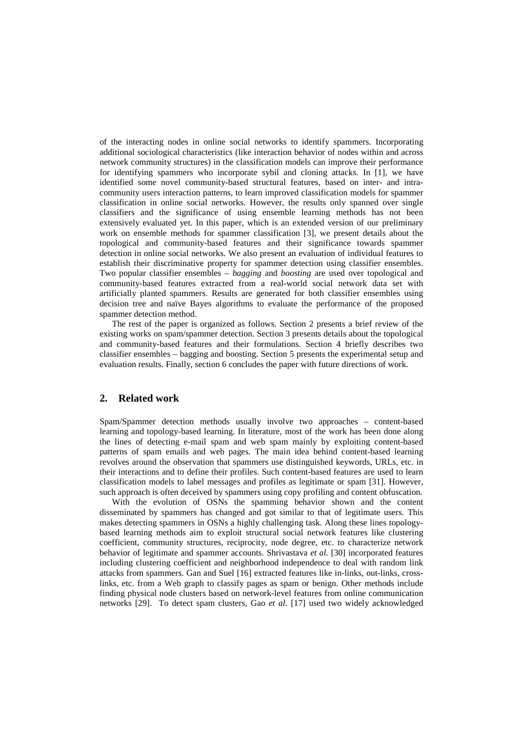of the interacting nodes in online social networks to identify spammers. Incorporating additional sociological characteristics (like interaction behavior of nodes within and across network community structures) in the classification models can improve their performance for identifying spammers who incorporate sybil and cloning attacks. In [1], we have identified some novel community-based structural features, based on inter- and intracommunity users interaction patterns, to learn improved classification models for spammer classification in online social networks. However, the results only spanned over single classifiers and the significance of using ensemble learning methods has not been extensively evaluated yet. In this paper, which is an extended version of our preliminary work on ensemble methods for spammer classification [3], we present details about the topological and community-based features and their significance towards spammer detection in online social networks. We also present an evaluation of individual features to establish their discriminative property for spammer detection using classifier ensembles. Two popular classifier ensembles – *bagging* and *boosting* are used over topological and community-based features extracted from a real-world social network data set with artificially planted spammers. Results are generated for both classifier ensembles using decision tree and naïve Bayes algorithms to evaluate the performance of the proposed spammer detection method.

The rest of the paper is organized as follows. Section 2 presents a brief review of the existing works on spam/spammer detection. Section 3 presents details about the topological and community-based features and their formulations. Section 4 briefly describes two classifier ensembles – bagging and boosting. Section 5 presents the experimental setup and evaluation results. Finally, section 6 concludes the paper with future directions of work.

#### **2. Related work**

Spam/Spammer detection methods usually involve two approaches – content-based learning and topology-based learning. In literature, most of the work has been done along the lines of detecting e-mail spam and web spam mainly by exploiting content-based patterns of spam emails and web pages. The main idea behind content-based learning revolves around the observation that spammers use distinguished keywords, URLs, etc. in their interactions and to define their profiles. Such content-based features are used to learn classification models to label messages and profiles as legitimate or spam [31]. However, such approach is often deceived by spammers using copy profiling and content obfuscation.

With the evolution of OSNs the spamming behavior shown and the content disseminated by spammers has changed and got similar to that of legitimate users. This makes detecting spammers in OSNs a highly challenging task. Along these lines topologybased learning methods aim to exploit structural social network features like clustering coefficient, community structures, reciprocity, node degree, etc. to characterize network behavior of legitimate and spammer accounts. Shrivastava *et al.* [30] incorporated features including clustering coefficient and neighborhood independence to deal with random link attacks from spammers. Gan and Suel [16] extracted features like in-links, out-links, crosslinks, etc. from a Web graph to classify pages as spam or benign. Other methods include finding physical node clusters based on network-level features from online communication networks [29]. To detect spam clusters, Gao *et al.* [17] used two widely acknowledged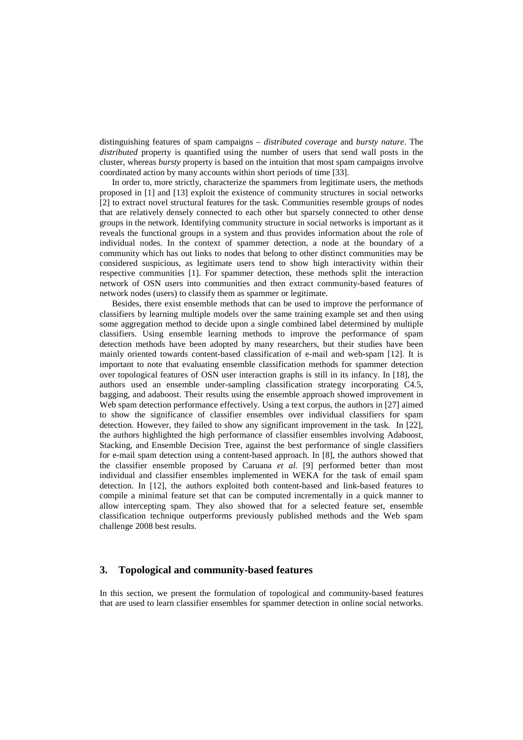distinguishing features of spam campaigns – *distributed coverage* and *bursty nature*. The *distributed* property is quantified using the number of users that send wall posts in the cluster, whereas *bursty* property is based on the intuition that most spam campaigns involve coordinated action by many accounts within short periods of time [33].

In order to, more strictly, characterize the spammers from legitimate users, the methods proposed in [1] and [13] exploit the existence of community structures in social networks [2] to extract novel structural features for the task. Communities resemble groups of nodes that are relatively densely connected to each other but sparsely connected to other dense groups in the network. Identifying community structure in social networks is important as it reveals the functional groups in a system and thus provides information about the role of individual nodes. In the context of spammer detection, a node at the boundary of a community which has out links to nodes that belong to other distinct communities may be considered suspicious, as legitimate users tend to show high interactivity within their respective communities [1]. For spammer detection, these methods split the interaction network of OSN users into communities and then extract community-based features of network nodes (users) to classify them as spammer or legitimate.

Besides, there exist ensemble methods that can be used to improve the performance of classifiers by learning multiple models over the same training example set and then using some aggregation method to decide upon a single combined label determined by multiple classifiers. Using ensemble learning methods to improve the performance of spam detection methods have been adopted by many researchers, but their studies have been mainly oriented towards content-based classification of e-mail and web-spam [12]. It is important to note that evaluating ensemble classification methods for spammer detection over topological features of OSN user interaction graphs is still in its infancy. In [18], the authors used an ensemble under-sampling classification strategy incorporating C4.5, bagging, and adaboost. Their results using the ensemble approach showed improvement in Web spam detection performance effectively. Using a text corpus, the authors in [27] aimed to show the significance of classifier ensembles over individual classifiers for spam detection. However, they failed to show any significant improvement in the task. In [22], the authors highlighted the high performance of classifier ensembles involving Adaboost, Stacking, and Ensemble Decision Tree, against the best performance of single classifiers for e-mail spam detection using a content-based approach. In [8], the authors showed that the classifier ensemble proposed by Caruana *et al.* [9] performed better than most individual and classifier ensembles implemented in WEKA for the task of email spam detection. In [12], the authors exploited both content-based and link-based features to compile a minimal feature set that can be computed incrementally in a quick manner to allow intercepting spam. They also showed that for a selected feature set, ensemble classification technique outperforms previously published methods and the Web spam challenge 2008 best results.

#### **3. Topological and community-based features**

In this section, we present the formulation of topological and community-based features that are used to learn classifier ensembles for spammer detection in online social networks.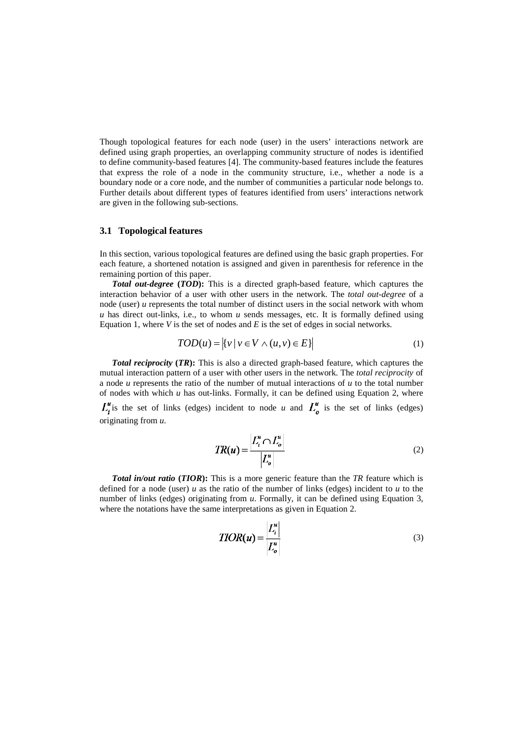Though topological features for each node (user) in the users' interactions network are defined using graph properties, an overlapping community structure of nodes is identified to define community-based features [4]. The community-based features include the features that express the role of a node in the community structure, i.e., whether a node is a boundary node or a core node, and the number of communities a particular node belongs to. Further details about different types of features identified from users' interactions network are given in the following sub-sections.

#### **3.1 Topological features**

In this section, various topological features are defined using the basic graph properties. For each feature, a shortened notation is assigned and given in parenthesis for reference in the remaining portion of this paper.

*Total out-degree* **(***TOD***):** This is a directed graph-based feature, which captures the interaction behavior of a user with other users in the network. The *total out-degree* of a node (user) *u* represents the total number of distinct users in the social network with whom *u* has direct out-links, i.e., to whom *u* sends messages, etc. It is formally defined using Equation 1, where *V* is the set of nodes and *E* is the set of edges in social networks.

$$
TOD(u) = |\{v \mid v \in V \land (u, v) \in E\}| \tag{1}
$$

*Total reciprocity* **(***TR***):** This is also a directed graph-based feature, which captures the mutual interaction pattern of a user with other users in the network. The *total reciprocity* of a node *u* represents the ratio of the number of mutual interactions of *u* to the total number of nodes with which *u* has out-links. Formally, it can be defined using Equation 2, where

 $L_i^u$  is the set of links (edges) incident to node *u* and  $L_i^u$  is the set of links (edges) originating from *u*.

$$
TR(u) = \frac{|L_i^u \cap L_o^u|}{|L_o^u|} \tag{2}
$$

*Total in/out ratio* **(***TIOR***):** This is a more generic feature than the *TR* feature which is defined for a node (user) *u* as the ratio of the number of links (edges) incident to *u* to the number of links (edges) originating from *u*. Formally, it can be defined using Equation 3, where the notations have the same interpretations as given in Equation 2.

$$
TIOR(u) = \frac{|L_i^u|}{|L_o^u|}
$$
\n(3)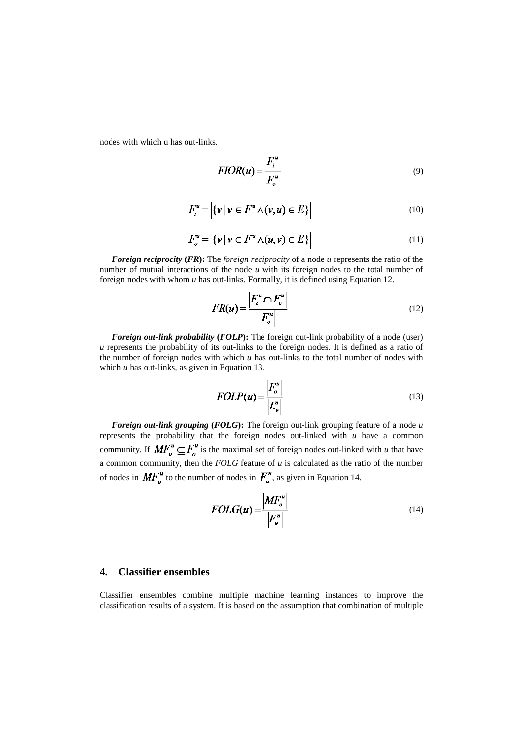nodes with which u has out-links.

$$
FIOR(u) = \frac{|F_i^u|}{|F_o^u|}
$$
\n(9)

$$
F_i^u = |\{v \mid v \in F^u \land (v, u) \in E\}| \tag{10}
$$

$$
F_o^u = |\{v \mid v \in F^u \land (u, v) \in E\}| \tag{11}
$$

*Foreign reciprocity* **(***FR***):** The *foreign reciprocity* of a node *u* represents the ratio of the number of mutual interactions of the node *u* with its foreign nodes to the total number of foreign nodes with whom *u* has out-links. Formally, it is defined using Equation 12.

$$
FR(u) = \frac{\left|F_i^u \cap F_o^u\right|}{\left|F_o^u\right|} \tag{12}
$$

*Foreign out-link probability* (*FOLP*): The foreign out-link probability of a node (user) *u* represents the probability of its out-links to the foreign nodes. It is defined as a ratio of the number of foreign nodes with which *u* has out-links to the total number of nodes with which *u* has out-links, as given in Equation 13.

$$
FOLP(u) = \frac{|F_o^u|}{|E_o^u|}
$$
\n(13)

*Foreign out-link grouping* **(***FOLG***):** The foreign out-link grouping feature of a node *u* represents the probability that the foreign nodes out-linked with *u* have a common community. If  $MF_o^u \subseteq F_o^u$  is the maximal set of foreign nodes out-linked with *u* that have a common community, then the *FOLG* feature of *u* is calculated as the ratio of the number of nodes in  $\mathbf{M} F_o^u$  to the number of nodes in  $F_o^u$ , as given in Equation 14.

$$
FOLG(u) = \frac{\left|MF_o^u\right|}{\left|F_o^u\right|} \tag{14}
$$

## **4. Classifier ensembles**

Classifier ensembles combine multiple machine learning instances to improve the classification results of a system. It is based on the assumption that combination of multiple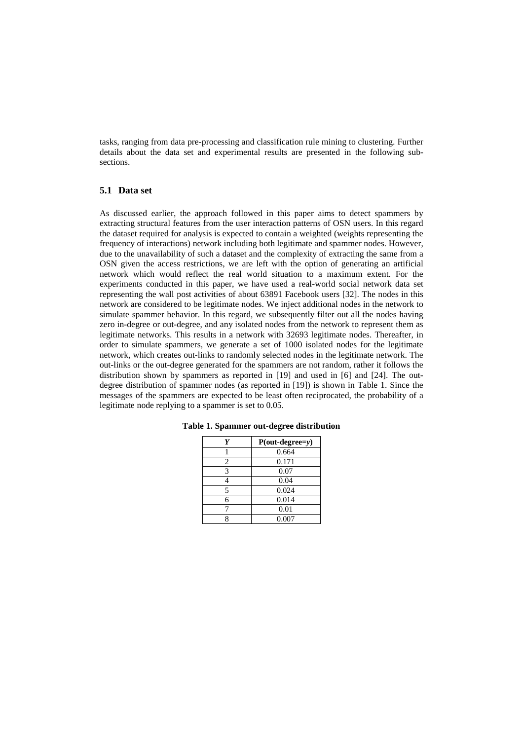tasks, ranging from data pre-processing and classification rule mining to clustering. Further details about the data set and experimental results are presented in the following subsections.

### **5.1 Data set**

As discussed earlier, the approach followed in this paper aims to detect spammers by extracting structural features from the user interaction patterns of OSN users. In this regard the dataset required for analysis is expected to contain a weighted (weights representing the frequency of interactions) network including both legitimate and spammer nodes. However, due to the unavailability of such a dataset and the complexity of extracting the same from a OSN given the access restrictions, we are left with the option of generating an artificial network which would reflect the real world situation to a maximum extent. For the experiments conducted in this paper, we have used a real-world social network data set representing the wall post activities of about 63891 Facebook users [32]. The nodes in this network are considered to be legitimate nodes. We inject additional nodes in the network to simulate spammer behavior. In this regard, we subsequently filter out all the nodes having zero in-degree or out-degree, and any isolated nodes from the network to represent them as legitimate networks. This results in a network with 32693 legitimate nodes. Thereafter, in order to simulate spammers, we generate a set of 1000 isolated nodes for the legitimate network, which creates out-links to randomly selected nodes in the legitimate network. The out-links or the out-degree generated for the spammers are not random, rather it follows the distribution shown by spammers as reported in [19] and used in [6] and [24]. The outdegree distribution of spammer nodes (as reported in [19]) is shown in Table 1. Since the messages of the spammers are expected to be least often reciprocated, the probability of a legitimate node replying to a spammer is set to 0.05.

| Y | $P(out-degree=y)$ |
|---|-------------------|
|   | 0.664             |
| 2 | 0.171             |
| 3 | 0.07              |
|   | 0.04              |
| 5 | 0.024             |
| б | 0.014             |
|   | 0.01              |
|   | 0.007             |

**Table 1. Spammer out-degree distribution**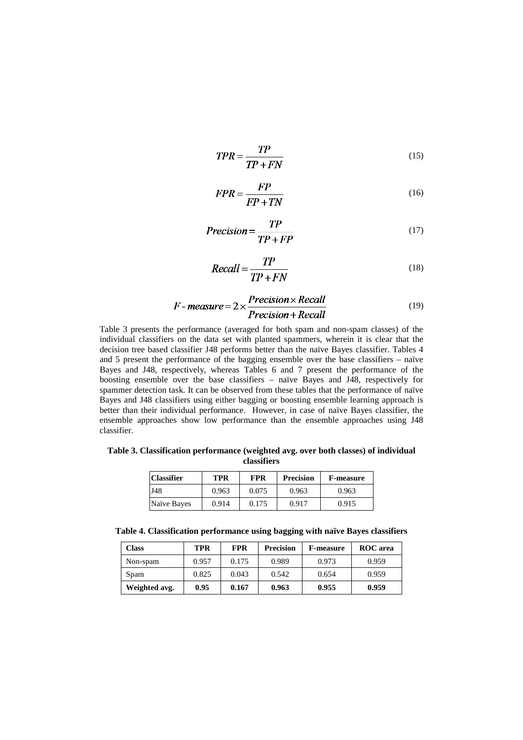$$
TPR = \frac{TP}{TP + FN}
$$
 (15)

$$
FPR = \frac{FP}{FP + TN} \tag{16}
$$

$$
Precision = \frac{TP}{TP + FP}
$$
 (17)

$$
Recall = \frac{TP}{TP + FN}
$$
 (18)

$$
F-measure = 2 \times \frac{Precision \times Recall}{Precision + Recall}
$$
 (19)

Table 3 presents the performance (averaged for both spam and non-spam classes) of the individual classifiers on the data set with planted spammers, wherein it is clear that the decision tree based classifier J48 performs better than the naïve Bayes classifier. Tables 4 and 5 present the performance of the bagging ensemble over the base classifiers – naïve Bayes and J48, respectively, whereas Tables 6 and 7 present the performance of the boosting ensemble over the base classifiers – naïve Bayes and J48, respectively for spammer detection task. It can be observed from these tables that the performance of naïve Bayes and J48 classifiers using either bagging or boosting ensemble learning approach is better than their individual performance. However, in case of naïve Bayes classifier, the ensemble approaches show low performance than the ensemble approaches using J48 classifier.

**Table 3. Classification performance (weighted avg. over both classes) of individual classifiers**

| <b>Classifier</b> | TPR   | FPR   | <b>Precision</b> | <b>F-measure</b> |
|-------------------|-------|-------|------------------|------------------|
| J48               | 0.963 | 0.075 | 0.963            | 0.963            |
| Naïve Bayes       | 0.914 | 0.175 | 0.917            | 0.915            |

**Table 4. Classification performance using bagging with naïve Bayes classifiers**

| Class         | TPR   | <b>FPR</b> | <b>Precision</b> | <b>F-measure</b> | <b>ROC</b> area |
|---------------|-------|------------|------------------|------------------|-----------------|
| Non-spam      | 0.957 | 0.175      | 0.989            | 0.973            | 0.959           |
| Spam          | 0.825 | 0.043      | 0.542            | 0.654            | 0.959           |
| Weighted avg. | 0.95  | 0.167      | 0.963            | 0.955            | 0.959           |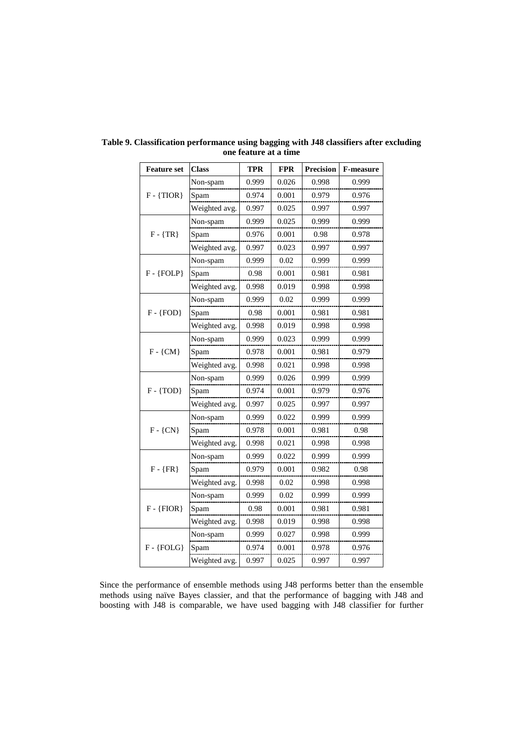| <b>Feature set</b> | <b>Class</b>  | <b>TPR</b> | <b>FPR</b> | <b>Precision</b> | <b>F-measure</b> |
|--------------------|---------------|------------|------------|------------------|------------------|
| $F - \{TIOR\}$     | Non-spam      | 0.999      | 0.026      | 0.998            | 0.999            |
|                    | Spam          | 0.974      | 0.001      | 0.979            | 0.976            |
|                    | Weighted avg. | 0.997      | 0.025      | 0.997            | 0.997            |
|                    | Non-spam      | 0.999      | 0.025      | 0.999            | 0.999            |
| $F - {TR}$         | Spam          | 0.976      | 0.001      | 0.98             | 0.978            |
|                    | Weighted avg. | 0.997      | 0.023      | 0.997            | 0.997            |
|                    | Non-spam      | 0.999      | 0.02       | 0.999            | 0.999            |
| $F - {FOLP}$       | Spam          | 0.98       | 0.001      | 0.981            | 0.981            |
|                    | Weighted avg. | 0.998      | 0.019      | 0.998            | 0.998            |
|                    | Non-spam      | 0.999      | 0.02       | 0.999            | 0.999            |
| $F - {FOD}$        | Spam          | 0.98       | 0.001      | 0.981            | 0.981            |
|                    | Weighted avg. | 0.998      | 0.019      | 0.998            | 0.998            |
|                    | Non-spam      | 0.999      | 0.023      | 0.999            | 0.999            |
| $F - \{CM\}$       | Spam          | 0.978      | 0.001      | 0.981            | 0.979            |
|                    | Weighted avg. | 0.998      | 0.021      | 0.998            | 0.998            |
|                    | Non-spam      | 0.999      | 0.026      | 0.999            | 0.999            |
| $F - \{TOD\}$      | Spam          | 0.974      | 0.001      | 0.979            | 0.976            |
|                    | Weighted avg. | 0.997      | 0.025      | 0.997            | 0.997            |
|                    | Non-spam      | 0.999      | 0.022      | 0.999            | 0.999            |
| $F - \{CN\}$       | Spam          | 0.978      | 0.001      | 0.981            | 0.98             |
|                    | Weighted avg. | 0.998      | 0.021      | 0.998            | 0.998            |
|                    | Non-spam      | 0.999      | 0.022      | 0.999            | 0.999            |
| $F - {FR}$         | Spam          | 0.979      | 0.001      | 0.982            | 0.98             |
|                    | Weighted avg. | 0.998      | 0.02       | 0.998            | 0.998            |
| $F - {FIOR}$       | Non-spam      | 0.999      | 0.02       | 0.999            | 0.999            |
|                    | Spam          | 0.98       | 0.001      | 0.981            | 0.981            |
|                    | Weighted avg. | 0.998      | 0.019      | 0.998            | 0.998            |
| $F - {FOLG}$       | Non-spam      | 0.999      | 0.027      | 0.998            | 0.999            |
|                    | Spam          | 0.974      | 0.001      | 0.978            | 0.976            |
|                    | Weighted avg. | 0.997      | 0.025      | 0.997            | 0.997            |

**Table 9. Classification performance using bagging with J48 classifiers after excluding one feature at a time** 

Since the performance of ensemble methods using J48 performs better than the ensemble methods using naïve Bayes classier, and that the performance of bagging with J48 and boosting with J48 is comparable, we have used bagging with J48 classifier for further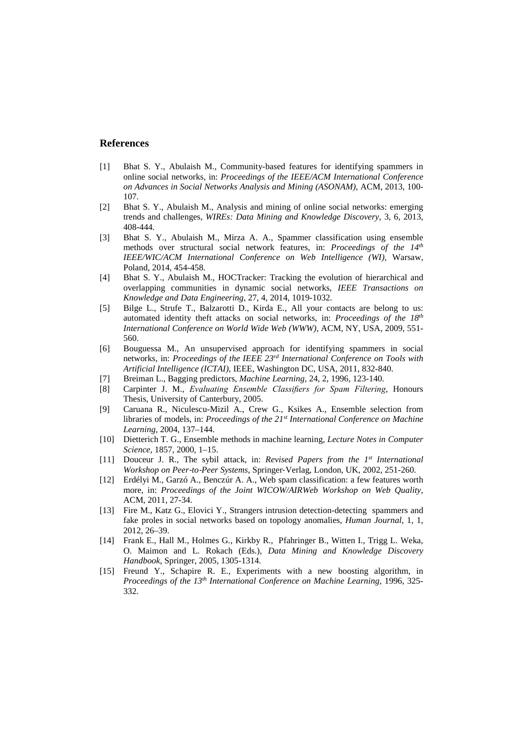## **References**

- [1] Bhat S. Y., Abulaish M., Community-based features for identifying spammers in online social networks, in: *Proceedings of the IEEE/ACM International Conference on Advances in Social Networks Analysis and Mining (ASONAM)*, ACM, 2013, 100- 107.
- [2] Bhat S. Y., Abulaish M., Analysis and mining of online social networks: emerging trends and challenges, *WIREs: Data Mining and Knowledge Discovery*, 3, 6, 2013, 408-444.
- [3] Bhat S. Y., Abulaish M., Mirza A. A., Spammer classification using ensemble methods over structural social network features, in: *Proceedings of the 14th IEEE/WIC/ACM International Conference on Web Intelligence (WI)*, Warsaw, Poland, 2014, 454-458.
- [4] Bhat S. Y., Abulaish M., HOCTracker: Tracking the evolution of hierarchical and overlapping communities in dynamic social networks, *IEEE Transactions on Knowledge and Data Engineering*, 27, 4, 2014, 1019-1032.
- [5] Bilge L., Strufe T., Balzarotti D., Kirda E., All your contacts are belong to us: automated identity theft attacks on social networks, in: *Proceedings of the 18th International Conference on World Wide Web (WWW)*, ACM, NY, USA, 2009, 551- 560.
- [6] Bouguessa M., An unsupervised approach for identifying spammers in social networks, in: *Proceedings of the IEEE 23rd International Conference on Tools with Artificial Intelligence (ICTAI)*, IEEE, Washington DC, USA, 2011, 832-840.
- [7] Breiman L., Bagging predictors, *Machine Learning*, 24, 2, 1996, 123-140.
- [8] Carpinter J. M., *Evaluating Ensemble Classifiers for Spam Filtering*, Honours Thesis, University of Canterbury, 2005.
- [9] Caruana R., Niculescu-Mizil A., Crew G., Ksikes A., Ensemble selection from libraries of models, in: *Proceedings of the 21st International Conference on Machine Learning*, 2004, 137–144.
- [10] Dietterich T. G., Ensemble methods in machine learning, *Lecture Notes in Computer Science*, 1857, 2000, 1–15.
- [11] Douceur J. R., The sybil attack, in: *Revised Papers from the 1st International Workshop on Peer*‐*to*‐*Peer Systems*, Springer‐Verlag, London, UK, 2002, 251-260.
- [12] Erdélyi M., Garzó A., Benczúr A. A., Web spam classification: a few features worth more, in: *Proceedings of the Joint WICOW/AIRWeb Workshop on Web Quality*, ACM, 2011, 27-34.
- [13] Fire M., Katz G., Elovici Y., Strangers intrusion detection-detecting spammers and fake proles in social networks based on topology anomalies, *Human Journal*, 1, 1, 2012, 26–39.
- [14] Frank E., Hall M., Holmes G., Kirkby R., Pfahringer B., Witten I., Trigg L. Weka, O. Maimon and L. Rokach (Eds.), *Data Mining and Knowledge Discovery Handbook*, Springer, 2005, 1305-1314.
- [15] Freund Y., Schapire R. E., Experiments with a new boosting algorithm, in *Proceedings of the 13th International Conference on Machine Learning*, 1996, 325- 332.